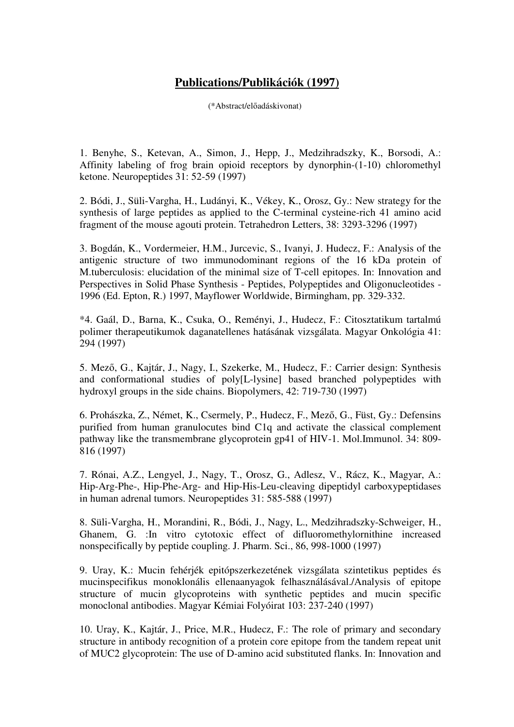## **Publications/Publikációk (1997)**

(\*Abstract/előadáskivonat)

1. Benyhe, S., Ketevan, A., Simon, J., Hepp, J., Medzihradszky, K., Borsodi, A.: Affinity labeling of frog brain opioid receptors by dynorphin-(1-10) chloromethyl ketone. Neuropeptides 31: 52-59 (1997)

2. Bódi, J., Süli-Vargha, H., Ludányi, K., Vékey, K., Orosz, Gy.: New strategy for the synthesis of large peptides as applied to the C-terminal cysteine-rich 41 amino acid fragment of the mouse agouti protein. Tetrahedron Letters, 38: 3293-3296 (1997)

3. Bogdán, K., Vordermeier, H.M., Jurcevic, S., Ivanyi, J. Hudecz, F.: Analysis of the antigenic structure of two immunodominant regions of the 16 kDa protein of M.tuberculosis: elucidation of the minimal size of T-cell epitopes. In: Innovation and Perspectives in Solid Phase Synthesis - Peptides, Polypeptides and Oligonucleotides - 1996 (Ed. Epton, R.) 1997, Mayflower Worldwide, Birmingham, pp. 329-332.

\*4. Gaál, D., Barna, K., Csuka, O., Reményi, J., Hudecz, F.: Citosztatikum tartalmú polimer therapeutikumok daganatellenes hatásának vizsgálata. Magyar Onkológia 41: 294 (1997)

5. Mező, G., Kajtár, J., Nagy, I., Szekerke, M., Hudecz, F.: Carrier design: Synthesis and conformational studies of poly[L-lysine] based branched polypeptides with hydroxyl groups in the side chains. Biopolymers, 42: 719-730 (1997)

6. Prohászka, Z., Német, K., Csermely, P., Hudecz, F., Mező, G., Füst, Gy.: Defensins purified from human granulocutes bind C1q and activate the classical complement pathway like the transmembrane glycoprotein gp41 of HIV-1. Mol.Immunol. 34: 809- 816 (1997)

7. Rónai, A.Z., Lengyel, J., Nagy, T., Orosz, G., Adlesz, V., Rácz, K., Magyar, A.: Hip-Arg-Phe-, Hip-Phe-Arg- and Hip-His-Leu-cleaving dipeptidyl carboxypeptidases in human adrenal tumors. Neuropeptides 31: 585-588 (1997)

8. Süli-Vargha, H., Morandini, R., Bódi, J., Nagy, L., Medzihradszky-Schweiger, H., Ghanem, G. :In vitro cytotoxic effect of difluoromethylornithine increased nonspecifically by peptide coupling. J. Pharm. Sci., 86, 998-1000 (1997)

9. Uray, K.: Mucin fehérjék epitópszerkezetének vizsgálata szintetikus peptides és mucinspecifikus monoklonális ellenaanyagok felhasználásával./Analysis of epitope structure of mucin glycoproteins with synthetic peptides and mucin specific monoclonal antibodies. Magyar Kémiai Folyóirat 103: 237-240 (1997)

10. Uray, K., Kajtár, J., Price, M.R., Hudecz, F.: The role of primary and secondary structure in antibody recognition of a protein core epitope from the tandem repeat unit of MUC2 glycoprotein: The use of D-amino acid substituted flanks. In: Innovation and